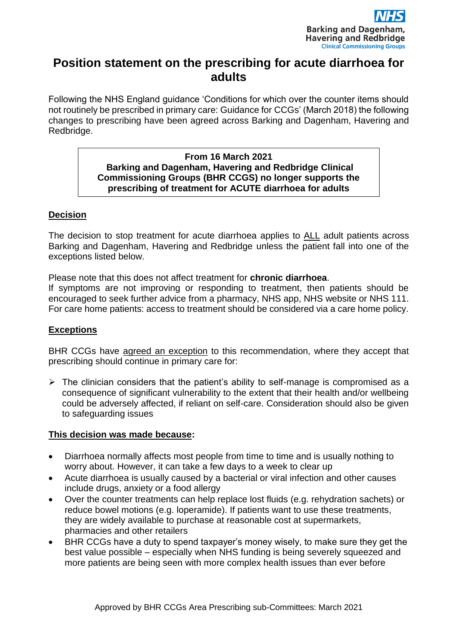

# **Position statement on the prescribing for acute diarrhoea for adults**

Following the NHS England guidance 'Conditions for which over the counter items should not routinely be prescribed in primary care: Guidance for CCGs' (March 2018) the following changes to prescribing have been agreed across Barking and Dagenham, Havering and Redbridge.

#### **From 16 March 2021 Barking and Dagenham, Havering and Redbridge Clinical Commissioning Groups (BHR CCGS) no longer supports the prescribing of treatment for ACUTE diarrhoea for adults**

## **Decision**

The decision to stop treatment for acute diarrhoea applies to ALL adult patients across Barking and Dagenham, Havering and Redbridge unless the patient fall into one of the exceptions listed below.

Please note that this does not affect treatment for **chronic diarrhoea**.

If symptoms are not improving or responding to treatment, then patients should be encouraged to seek further advice from a pharmacy, NHS app, NHS website or NHS 111. For care home patients: access to treatment should be considered via a care home policy.

#### **Exceptions**

BHR CCGs have agreed an exception to this recommendation, where they accept that prescribing should continue in primary care for:

 $\triangleright$  The clinician considers that the patient's ability to self-manage is compromised as a consequence of significant vulnerability to the extent that their health and/or wellbeing could be adversely affected, if reliant on self-care. Consideration should also be given to safeguarding issues

#### **This decision was made because:**

- Diarrhoea normally affects most people from time to time and is usually nothing to worry about. However, it can take a few days to a week to clear up
- Acute diarrhoea is usually caused by a bacterial or viral infection and other causes include drugs, anxiety or a food allergy
- Over the counter treatments can help replace lost fluids (e.g. rehydration sachets) or reduce bowel motions (e.g. loperamide). If patients want to use these treatments, they are widely available to purchase at reasonable cost at supermarkets, pharmacies and other retailers
- BHR CCGs have a duty to spend taxpayer's money wisely, to make sure they get the best value possible – especially when NHS funding is being severely squeezed and more patients are being seen with more complex health issues than ever before